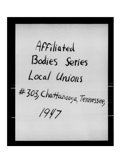Affiliated Bodies Series Local Unions #303, Chattanooga, Tennessee,  $1947$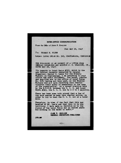|                | INTER-OFFICE COMMUNICATION                                                                                                                                                                                                                              |
|----------------|---------------------------------------------------------------------------------------------------------------------------------------------------------------------------------------------------------------------------------------------------------|
|                | From the Office of JOHN F. ENGLISH                                                                                                                                                                                                                      |
|                | Date MAY 29, 1947                                                                                                                                                                                                                                       |
|                | To: THOMAS E. FLYNN                                                                                                                                                                                                                                     |
|                | Subject: LOCAL UNION NO. 303, CHATTANOOGA, TENNESSEE                                                                                                                                                                                                    |
|                | THE FOLLOWING IS AN EXCERPT OF A LETTER FROM<br>GENERAL ORGANIZER AND AUDITOR J. R. BRADDOCK, JR.,<br>DATED MAY 28, 1947:                                                                                                                               |
|                | "In regards to Local Union #303, which is the<br>new Charter recently installed by General<br>Organizer, Dexter L. Lewis for the Brewery<br>Workers in Chattanooga, I am returning to your                                                              |
|                | office the audit statement. The books, charter<br>and supplies are in the office of Local Union<br>No. 515, having not been used, as the Brewery                                                                                                        |
|                | Workers did not upon receiving this charter<br>transfer their money or membership to the name<br>of the organization. At a recent election held<br>by the N.L.R.B. between the C. I. O. and Local<br>Union #363, the C. I. O. won by a 2 to 1 majority. |
| date.          | There has been some talk around that a few of<br>the boys wanted to keep this charter active. in<br>order to try to beat the C. I. O. out at a later                                                                                                    |
|                | Therefore, in view of the fact that this was<br>handled by Mr. Lewis and that this is in his<br>territory, I have made no decision as to the<br>status of the Local Union and as stated above<br>was nothing in the hooks to audit."                    |
| <b>JPE: IN</b> | JUHN P. ENGLISH<br>GENERAL SECRETARY-TREASURER                                                                                                                                                                                                          |
|                |                                                                                                                                                                                                                                                         |
|                |                                                                                                                                                                                                                                                         |
|                |                                                                                                                                                                                                                                                         |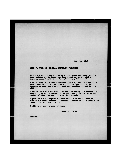**June 11, 1947** 

**JOHN F. ZHGLISH, GENERAL SECRETARY-TREASURER** 

**In regard to statements contained in letter addressed to you froa Auditor J. R. Lraddock, Jr., dated May ^3th, 1947 regarding Local Union Mo. 303, Chattanooga, Tennessee:** 

**I have today instructed Organizer Lewis to make an investigation regarding this condition and if tte Organization is dormant to send the charter, seal and supplies direct to your office.** 

**However, if a certain amount of the membership are desirous of keeping this Organization active they may do so for an agreed period of tiae, to see if it can** be **revived..** 

I pointed out to Organizer Lewis that as he and we know the **MLRB woulj never consent to another election in this particular brewery for at least one year.** 

**I will keep you advised on this.** 

THOMAS **E. FLYNW** 

**TET/1MH**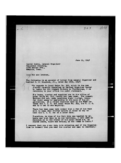**June 11, 1947** 

 $303$ 

Hole

**Dexter Lewis, General Organizer Teaasters building, 1190 Ralxer Ave., Memphis, Tenn.** 

Dear Sir and **brother**,

The following is an excerpt of letter from General Organizer and Auditor J. R. Braddock, Jr., dated May 28th, 1947:

**'In regards to Local Union No. 303, which is the new charter recently installed by General Organizer Dexter**  L. Lewis for the brewery Workers in Chattanooga, I am **returning to your office tf.e audit statement.** 

**Tie hooks, charter and supplies are in tie office of**  Local Union No. 515, having not teen used. The Brewery **Workers did not, upon receiving their charter, trans**fer their money or membership to the name of the or**ganization. At a recent election held by the WLRB between the C. I. 0. and Local Union No. 303, the C. I. 0. won by a two to one majority.** 

**There has been some talk around that a few of tne boys**  went to keep this charter active in order to try to **beat the C. I. 0. out at a later date.** 

Therefore, in view of the fact this was handled by mr. Lewis and that this is in his territory, I have aade no decision as to the status of the Local Unio**n and, as** stated above, there was nothing in the tooks to audit.<sup>"</sup>

I request that you c scx into this aituation and if the Organizetion is dormant that you send the charter and amsl to Seeretary